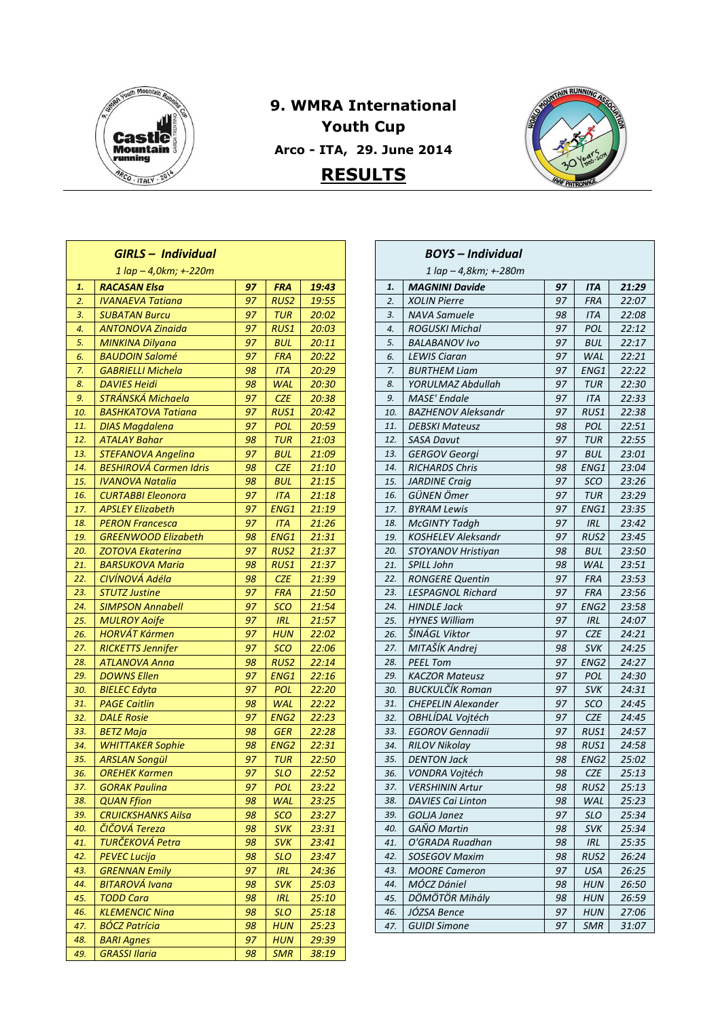

Г

## **9. WMRA International Youth Cup Arco - ITA, 29. June 2014 RESULTS**



| <b>GIRLS - Individual</b>                       |                                            |          |                  |                |  |  |
|-------------------------------------------------|--------------------------------------------|----------|------------------|----------------|--|--|
| $1 \text{ lap} - 4, 0 \text{km}; +220 \text{m}$ |                                            |          |                  |                |  |  |
| 1.                                              | <b>RACASAN Elsa</b>                        | 97       | <b>FRA</b>       | 19:43          |  |  |
| 2.                                              | <b>IVANAEVA Tatiana</b>                    | 97       | RUS <sub>2</sub> | 19:55          |  |  |
| 3.                                              | <b>SUBATAN Burcu</b>                       | 97       | TUR              | 20:02          |  |  |
| 4.                                              | <b>ANTONOVA Zinaida</b>                    | 97       | RUS1             | 20:03          |  |  |
| 5.                                              | <b>MINKINA Dilyana</b>                     | 97       | <b>BUL</b>       | 20:11          |  |  |
| 6.                                              | <b>BAUDOIN Salomé</b>                      | 97       | FRA              | 20:22          |  |  |
| 7.                                              | <b>GABRIELLI Michela</b>                   | 98       | ITA              | 20:29          |  |  |
| 8.                                              | <b>DAVIES Heidi</b>                        | 98       | <b>WAL</b>       | 20:30          |  |  |
| 9.                                              | <b>STRÁNSKÁ Michaela</b>                   | 97       | <b>CZE</b>       | 20:38          |  |  |
| 10.                                             | <b>BASHKATOVA Tatiana</b>                  | 97       | RUS1             | 20:42          |  |  |
| 11.                                             | <b>DIAS Magdalena</b>                      | 97       | POL              | 20:59          |  |  |
| 12.                                             | <b>ATALAY Bahar</b>                        | 98       | <b>TUR</b>       | 21:03          |  |  |
| 13.                                             | <b>STEFANOVA Angelina</b>                  | 97       | <b>BUL</b>       | 21:09          |  |  |
| 14.                                             | <b>BESHIROVÁ Carmen Idris</b>              | 98       | <b>CZE</b>       | 21:10          |  |  |
| 15.                                             | <b>IVANOVA Natalia</b>                     | 98       | BUL              | 21:15          |  |  |
| 16.                                             | CURTABBI Eleonora                          | 97       | ITA              | 21:18          |  |  |
| 17.                                             | <b>APSLEY Elizabeth</b>                    | 97       | ENG1             | 21:19          |  |  |
| 18.                                             | <b>PERON Francesca</b>                     | 97       | ITA              | 21:26          |  |  |
| 19.                                             | <b>GREENWOOD Elizabeth</b>                 | 98       | ENG1             | 21:31          |  |  |
| 20.                                             | <b>ZOTOVA Ekaterina</b>                    | 97       | <b>RUS2</b>      | 21:37          |  |  |
| 21.                                             | <b>BARSUKOVA Maria</b>                     | 98       | RUS1             | 21:37          |  |  |
| 22.                                             | CIVÍNOVÁ Adéla                             | 98       | <b>CZE</b>       | 21:39          |  |  |
| 23.                                             | <b>STUTZ Justine</b>                       | 97       | <b>FRA</b>       | 21:50          |  |  |
| 24.                                             | <b>SIMPSON Annabell</b>                    | 97       | sco              | 21:54          |  |  |
| 25.                                             | <b>MULROY Aoife</b>                        | 97       | <b>IRL</b>       | 21:57          |  |  |
| 26.                                             | HORVÁT Kármen                              | 97       | HUN              | 22:02          |  |  |
| 27.                                             | <b>RICKETTS Jennifer</b>                   | 97       | <b>SCO</b>       | 22:06          |  |  |
| 28.                                             | <b>ATLANOVA Anna</b>                       | 98       | <b>RUS2</b>      | 22:14          |  |  |
| 29.                                             | <b>DOWNS Ellen</b>                         | 97       | ENG1             | 22:16          |  |  |
| 30.                                             | <b>BIELEC Edyta</b>                        | 97       | <b>POL</b>       | 22:20          |  |  |
| 31.                                             | <b>PAGE Caitlin</b>                        | 98       | <b>WAL</b>       | 22:22          |  |  |
| 32.                                             | <b>DALE Rosie</b>                          | 97       | ENG <sub>2</sub> | 22:23          |  |  |
| 33.                                             | <b>BETZ Maja</b>                           | 98       | <b>GER</b>       | 22:28          |  |  |
| 34.                                             | <b>WHITTAKER Sophie</b>                    | 98       | ENG <sub>2</sub> | 22:31          |  |  |
| 35.                                             | <b>ARSLAN Songül</b>                       | 97       | <b>TUR</b>       | 22:50          |  |  |
| 36.                                             | <b>OREHEK Karmen</b>                       | 97       | <b>SLO</b>       | 22:52          |  |  |
| 37.                                             | <b>GORAK Paulina</b>                       | 97       | POL              | 23:22          |  |  |
| 38.                                             | <b>QUAN Ffion</b>                          | 98       | <b>WAL</b>       | 23:25          |  |  |
| 39.<br>40.                                      | <b>CRUICKSHANKS Ailsa</b><br>ČIČOVÁ Tereza | 98<br>98 | <b>SCO</b>       | 23:27          |  |  |
| 41.                                             | <b>TURČEKOVÁ Petra</b>                     | 98       | <b>SVK</b>       | 23:31          |  |  |
| 42.                                             | <b>PEVEC Lucija</b>                        |          | <b>SVK</b>       | 23:41          |  |  |
|                                                 | <b>GRENNAN Emily</b>                       | 98<br>97 | SLO              | 23:47          |  |  |
| 43.<br>44.                                      | BITAROVÁ Ivana                             | 98       | <b>IRL</b>       | 24:36          |  |  |
| 45.                                             | <b>TODD Cara</b>                           | 98       | svĸ<br>IRL       | 25:03<br>25:10 |  |  |
| 46.                                             | <b>KLEMENCIC Nina</b>                      | 98       | <b>SLO</b>       | 25:18          |  |  |
| 47.                                             | <b>BÓCZ Patrícia</b>                       | 98       | HUN              | 25:23          |  |  |
| 48.                                             | <b>BARI Agnes</b>                          | 97       | HUN              | 29:39          |  |  |
| 49.                                             | <b>GRASSI Ilaria</b>                       | 98       | SMR              | 38:19          |  |  |
|                                                 |                                            |          |                  |                |  |  |

| <b>BOYS</b> – Individual |                                                    |          |                  |                |  |
|--------------------------|----------------------------------------------------|----------|------------------|----------------|--|
|                          | 1 lap - 4,8km; +-280m                              |          |                  |                |  |
| 1.                       | <b>MAGNINI Davide</b>                              | 97       | ITA              | 21:29          |  |
| 2.                       | <b>XOLIN Pierre</b>                                | 97       | <b>FRA</b>       | 22:07          |  |
| 3.                       | <b>NAVA Samuele</b>                                | 98       | <b>ITA</b>       | 22:08          |  |
| 4.                       | <b>ROGUSKI Michal</b>                              | 97       | POL              | 22:12          |  |
| 5.                       | <b>BALABANOV Ivo</b>                               | 97       | BUL              | 22:17          |  |
| 6.                       | <b>LEWIS Ciaran</b>                                | 97       | <b>WAL</b>       | 22:21          |  |
| 7.                       | <b>BURTHEM Liam</b>                                | 97       | ENG1             | 22:22          |  |
| 8.                       | YORULMAZ Abdullah                                  | 97       | <b>TUR</b>       | 22:30          |  |
| 9.                       | <b>MASE' Endale</b>                                | 97       | <b>ITA</b>       | 22:33          |  |
| 10.                      | <b>BAZHENOV Aleksandr</b>                          | 97       | RUS1             | 22:38          |  |
| 11.                      | <b>DEBSKI Mateusz</b>                              | 98       | POL              | 22:51          |  |
| 12.                      | <b>SASA Davut</b>                                  | 97       | <b>TUR</b>       | 22:55          |  |
| 13.                      | GERGOV Georgi                                      | 97       | BUL              | 23:01          |  |
| 14.                      | <b>RICHARDS Chris</b>                              | 98       | ENG1             | 23:04          |  |
| 15.                      | <b>JARDINE Craig</b>                               | 97       | <b>SCO</b>       | 23:26          |  |
| 16.                      | GÜNEN Ömer                                         | 97       | TUR              | 23:29          |  |
| 17.                      | <b>BYRAM Lewis</b>                                 | 97       | ENG1             | 23:35          |  |
| 18.                      | <b>McGINTY Tadgh</b>                               | 97       | <b>IRL</b>       | 23:42          |  |
| 19.                      | <b>KOSHELEV Aleksandr</b>                          | 97       | RUS <sub>2</sub> | 23:45          |  |
| 20.                      | STOYANOV Hristiyan                                 | 98       | <b>BUL</b>       | 23:50          |  |
| 21.                      | SPILL John                                         | 98       | <b>WAL</b>       | 23:51          |  |
| 22.                      | <b>RONGERE Quentin</b>                             | 97       | <b>FRA</b>       | 23:53          |  |
| 23.                      | <b>LESPAGNOL Richard</b>                           | 97       | <b>FRA</b>       | 23:56          |  |
| 24.                      | HINDLE Jack                                        | 97       | ENG2             | 23:58          |  |
| 25.                      | <b>HYNES William</b>                               | 97       | IRL              | 24:07          |  |
| 26.                      | ŠINÁGL Viktor                                      | 97       | CZE              | 24:21          |  |
| 27.                      | MITAŠÍK Andrei                                     | 98       | <b>SVK</b>       | 24:25          |  |
| 28.                      | <b>PEEL Tom</b>                                    | 97       | ENG <sub>2</sub> | 24:27          |  |
| 29.                      | <b>KACZOR Mateusz</b>                              | 97       | POL              | 24:30          |  |
| 30.                      | <b>BUCKULČÍK Roman</b>                             | 97       | <b>SVK</b>       | 24:31          |  |
| 31.                      | <b>CHEPELIN Alexander</b>                          | 97       | sco              | 24:45          |  |
| 32.                      | OBHLÍDAL Vojtéch                                   | 97       | <b>CZE</b>       | 24:45          |  |
| 33.                      | <b>EGOROV Gennadii</b>                             | 97       | RUS1             | 24:57          |  |
| 34.<br>35.               | <b>RILOV Nikolay</b><br><b>DENTON Jack</b>         | 98<br>98 | RUS1<br>ENG2     | 24:58<br>25:02 |  |
| 36.                      | VONDRA Voitéch                                     | 98       | CZE              | 25:13          |  |
|                          |                                                    |          |                  |                |  |
| 37.<br>38.               | <i>VERSHININ Artur</i><br><b>DAVIES Cai Linton</b> | 98<br>98 | RUS2<br>WAL      | 25:13<br>25:23 |  |
| 39.                      | <b>GOLJA Janez</b>                                 | 97       | <b>SLO</b>       | 25:34          |  |
| 40.                      | <b>GAŇO Martin</b>                                 | 98       | <b>SVK</b>       | 25:34          |  |
| 41.                      | O'GRADA Ruadhan                                    | 98       | <b>IRL</b>       | 25:35          |  |
| 42.                      | <b>SOSEGOV Maxim</b>                               | 98       | RUS2             | 26:24          |  |
| 43.                      | <b>MOORE Cameron</b>                               | 97       | <b>USA</b>       | 26:25          |  |
| 44.                      | MÓCZ Dániel                                        | 98       | <b>HUN</b>       | 26:50          |  |
| 45.                      | DÖMÖTÖR Mihály                                     | 98       | <b>HUN</b>       | 26:59          |  |
| 46.                      | JÓZSA Bence                                        | 97       | HUN              | 27:06          |  |
| 47.                      | <b>GUIDI Simone</b>                                | 97       | <b>SMR</b>       | 31:07          |  |